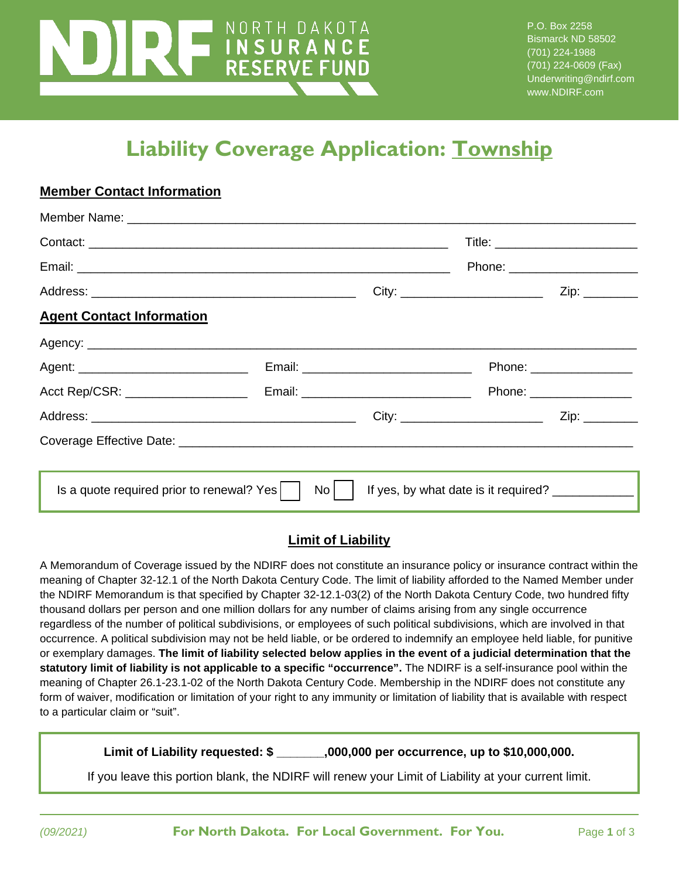# NORTH DAKOTA **THE COVERAGE APPLICATIONS**

P.O. Box 2258 Bismarck ND 58502 (701) 224-1988 (701) 224-0609 (Fax) Underwriting@ndirf.com www.NDIRF.com

## **Liability Coverage Application: Township**

|                                           |      | Phone: ________________________                     |  |
|-------------------------------------------|------|-----------------------------------------------------|--|
|                                           |      |                                                     |  |
| <b>Agent Contact Information</b>          |      |                                                     |  |
|                                           |      |                                                     |  |
|                                           |      | Phone: _________________                            |  |
|                                           |      | Phone: __________________                           |  |
|                                           |      |                                                     |  |
|                                           |      |                                                     |  |
|                                           |      |                                                     |  |
| Is a quote required prior to renewal? Yes | $No$ | If yes, by what date is it required? ______________ |  |

#### **Limit of Liability**

A Memorandum of Coverage issued by the NDIRF does not constitute an insurance policy or insurance contract within the meaning of Chapter 32-12.1 of the North Dakota Century Code. The limit of liability afforded to the Named Member under the NDIRF Memorandum is that specified by Chapter 32-12.1-03(2) of the North Dakota Century Code, two hundred fifty thousand dollars per person and one million dollars for any number of claims arising from any single occurrence regardless of the number of political subdivisions, or employees of such political subdivisions, which are involved in that occurrence. A political subdivision may not be held liable, or be ordered to indemnify an employee held liable, for punitive or exemplary damages. **The limit of liability selected below applies in the event of a judicial determination that the statutory limit of liability is not applicable to a specific "occurrence".** The NDIRF is a self-insurance pool within the meaning of Chapter 26.1-23.1-02 of the North Dakota Century Code. Membership in the NDIRF does not constitute any form of waiver, modification or limitation of your right to any immunity or limitation of liability that is available with respect to a particular claim or "suit".

**Limit of Liability requested: \$ \_\_\_\_\_\_\_,000,000 per occurrence, up to \$10,000,000.**

If you leave this portion blank, the NDIRF will renew your Limit of Liability at your current limit.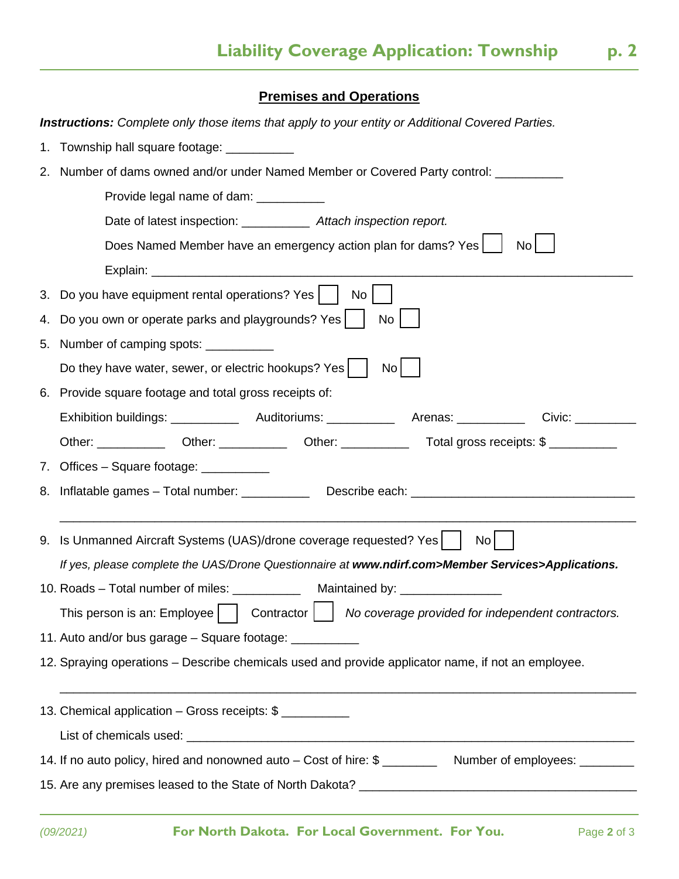#### **Premises and Operations**

| <b>Instructions:</b> Complete only those items that apply to your entity or Additional Covered Parties. |                                                                                                                        |  |  |  |  |
|---------------------------------------------------------------------------------------------------------|------------------------------------------------------------------------------------------------------------------------|--|--|--|--|
|                                                                                                         | 1. Township hall square footage: ___________                                                                           |  |  |  |  |
| 2.                                                                                                      | Number of dams owned and/or under Named Member or Covered Party control: ________                                      |  |  |  |  |
|                                                                                                         | Provide legal name of dam: ___________                                                                                 |  |  |  |  |
|                                                                                                         | Date of latest inspection: _____________ Attach inspection report.                                                     |  |  |  |  |
|                                                                                                         | Does Named Member have an emergency action plan for dams? Yes  <br>No                                                  |  |  |  |  |
|                                                                                                         |                                                                                                                        |  |  |  |  |
|                                                                                                         | 3. Do you have equipment rental operations? Yes     No                                                                 |  |  |  |  |
| 4.                                                                                                      | Do you own or operate parks and playgrounds? Yes  <br>No                                                               |  |  |  |  |
| 5.                                                                                                      | Number of camping spots: ___________                                                                                   |  |  |  |  |
|                                                                                                         | Do they have water, sewer, or electric hookups? Yes  <br>No <sub>1</sub>                                               |  |  |  |  |
|                                                                                                         | 6. Provide square footage and total gross receipts of:                                                                 |  |  |  |  |
|                                                                                                         |                                                                                                                        |  |  |  |  |
|                                                                                                         | Other: ______________ Other: ________________Other: _____________________________ Total gross receipts: \$ ___________ |  |  |  |  |
|                                                                                                         | 7. Offices - Square footage: __________                                                                                |  |  |  |  |
|                                                                                                         | 8. Inflatable games - Total number: ______________ Describe each: __________________________________                   |  |  |  |  |
|                                                                                                         |                                                                                                                        |  |  |  |  |
|                                                                                                         | 9. Is Unmanned Aircraft Systems (UAS)/drone coverage requested? Yes<br>No l                                            |  |  |  |  |
|                                                                                                         | If yes, please complete the UAS/Drone Questionnaire at www.ndirf.com>Member Services>Applications.                     |  |  |  |  |
|                                                                                                         | 10. Roads - Total number of miles: ______________ Maintained by: _______________                                       |  |  |  |  |
|                                                                                                         | This person is an: Employee $\Box$ Contractor $\Box$ No coverage provided for independent contractors.                 |  |  |  |  |
|                                                                                                         | 11. Auto and/or bus garage - Square footage: __________                                                                |  |  |  |  |
|                                                                                                         | 12. Spraying operations – Describe chemicals used and provide applicator name, if not an employee.                     |  |  |  |  |
|                                                                                                         |                                                                                                                        |  |  |  |  |
|                                                                                                         | 13. Chemical application - Gross receipts: \$                                                                          |  |  |  |  |
|                                                                                                         |                                                                                                                        |  |  |  |  |
|                                                                                                         | 14. If no auto policy, hired and nonowned auto - Cost of hire: \$ ____________ Number of employees: ________           |  |  |  |  |
|                                                                                                         |                                                                                                                        |  |  |  |  |